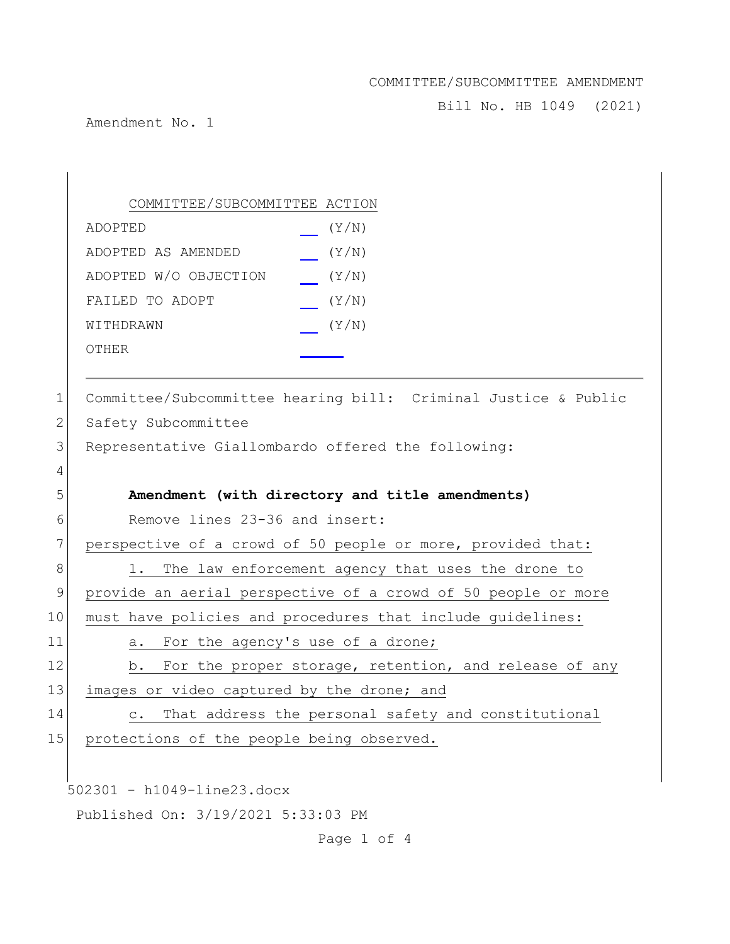Bill No. HB 1049 (2021)

Amendment No. 1

| Committee/Subcommittee hearing bill: Criminal Justice & Public |
|----------------------------------------------------------------|
|                                                                |
|                                                                |
|                                                                |
|                                                                |
|                                                                |
|                                                                |
|                                                                |
|                                                                |
| provide an aerial perspective of a crowd of 50 people or more  |
|                                                                |
|                                                                |
| For the proper storage, retention, and release of any          |
|                                                                |
| That address the personal safety and constitutional            |
|                                                                |
|                                                                |
|                                                                |
|                                                                |
| perspective of a crowd of 50 people or more, provided that:    |

Page 1 of 4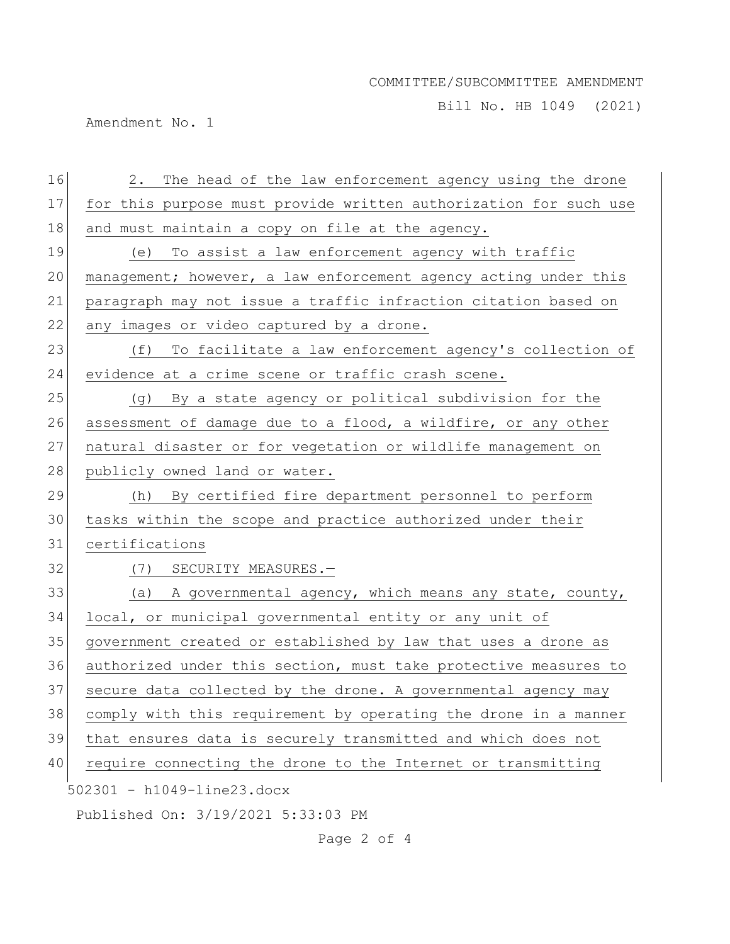Bill No. HB 1049 (2021)

Amendment No. 1

| 16 | The head of the law enforcement agency using the drone<br>2.     |
|----|------------------------------------------------------------------|
| 17 | for this purpose must provide written authorization for such use |
| 18 | and must maintain a copy on file at the agency.                  |
| 19 | To assist a law enforcement agency with traffic<br>(e)           |
| 20 | management; however, a law enforcement agency acting under this  |
| 21 | paragraph may not issue a traffic infraction citation based on   |
| 22 | any images or video captured by a drone.                         |
| 23 | (f) To facilitate a law enforcement agency's collection of       |
| 24 | evidence at a crime scene or traffic crash scene.                |
| 25 | (g) By a state agency or political subdivision for the           |
| 26 | assessment of damage due to a flood, a wildfire, or any other    |
| 27 | natural disaster or for vegetation or wildlife management on     |
| 28 | publicly owned land or water.                                    |
| 29 | (h) By certified fire department personnel to perform            |
| 30 | tasks within the scope and practice authorized under their       |
| 31 | certifications                                                   |
| 32 | (7) SECURITY MEASURES.-                                          |
| 33 | (a) A governmental agency, which means any state, county,        |
| 34 | local, or municipal governmental entity or any unit of           |
| 35 | government created or established by law that uses a drone as    |
| 36 | authorized under this section, must take protective measures to  |
| 37 | secure data collected by the drone. A governmental agency may    |
| 38 | comply with this requirement by operating the drone in a manner  |
| 39 | that ensures data is securely transmitted and which does not     |
| 40 | require connecting the drone to the Internet or transmitting     |
|    | 502301 - h1049-line23.docx                                       |
|    | Published On: 3/19/2021 5:33:03 PM                               |

Page 2 of 4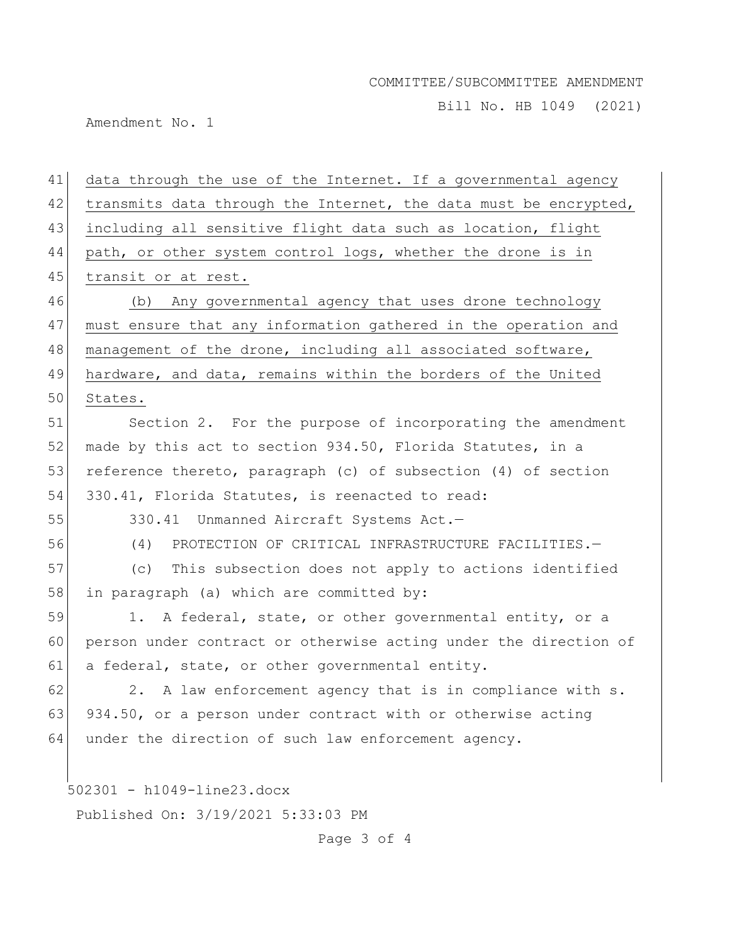Bill No. HB 1049 (2021)

Amendment No. 1

502301 - h1049-line23.docx Published On: 3/19/2021 5:33:03 PM 41 data through the use of the Internet. If a governmental agency  $42$  transmits data through the Internet, the data must be encrypted, 43 including all sensitive flight data such as location, flight 44 path, or other system control logs, whether the drone is in 45 transit or at rest. 46 (b) Any governmental agency that uses drone technology 47 must ensure that any information gathered in the operation and 48 management of the drone, including all associated software, 49 hardware, and data, remains within the borders of the United 50 States. 51 Section 2. For the purpose of incorporating the amendment 52 made by this act to section 934.50, Florida Statutes, in a 53 reference thereto, paragraph (c) of subsection (4) of section 54 330.41, Florida Statutes, is reenacted to read: 55 330.41 Unmanned Aircraft Systems Act.— 56 (4) PROTECTION OF CRITICAL INFRASTRUCTURE FACILITIES.— 57 (c) This subsection does not apply to actions identified 58 in paragraph (a) which are committed by: 59 1. A federal, state, or other governmental entity, or a 60 person under contract or otherwise acting under the direction of 61 a federal, state, or other governmental entity.  $62$  2. A law enforcement agency that is in compliance with s. 63 934.50, or a person under contract with or otherwise acting 64 under the direction of such law enforcement agency.

Page 3 of 4